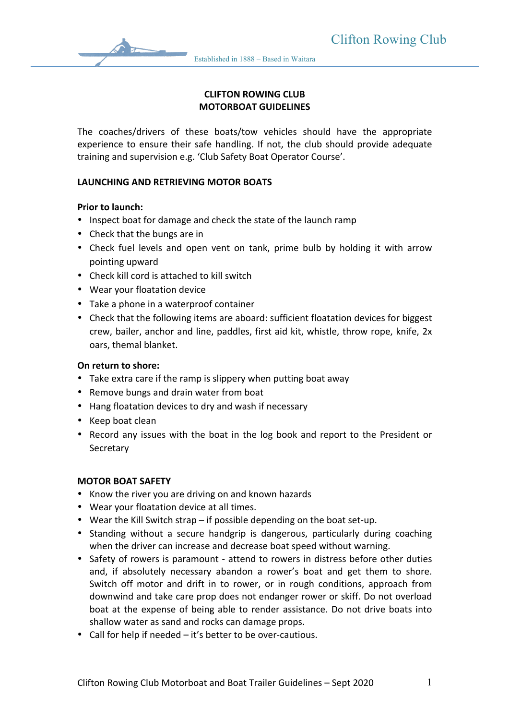# **CLIFTON ROWING CLUB MOTORBOAT GUIDELINES**

The coaches/drivers of these boats/tow vehicles should have the appropriate experience to ensure their safe handling. If not, the club should provide adequate training and supervision e.g. 'Club Safety Boat Operator Course'.

## **LAUNCHING AND RETRIEVING MOTOR BOATS**

#### **Prior to launch:**

- Inspect boat for damage and check the state of the launch ramp
- Check that the bungs are in
- Check fuel levels and open vent on tank, prime bulb by holding it with arrow pointing upward
- Check kill cord is attached to kill switch
- Wear your floatation device
- Take a phone in a waterproof container
- Check that the following items are aboard: sufficient floatation devices for biggest crew, bailer, anchor and line, paddles, first aid kit, whistle, throw rope, knife, 2x oars, themal blanket.

#### **On return to shore:**

- Take extra care if the ramp is slippery when putting boat away
- Remove bungs and drain water from boat
- Hang floatation devices to dry and wash if necessary
- Keep boat clean
- Record any issues with the boat in the log book and report to the President or **Secretary**

#### **MOTOR BOAT SAFETY**

- Know the river you are driving on and known hazards
- Wear your floatation device at all times.
- Wear the Kill Switch strap if possible depending on the boat set-up.
- Standing without a secure handgrip is dangerous, particularly during coaching when the driver can increase and decrease boat speed without warning.
- Safety of rowers is paramount attend to rowers in distress before other duties and, if absolutely necessary abandon a rower's boat and get them to shore. Switch off motor and drift in to rower, or in rough conditions, approach from downwind and take care prop does not endanger rower or skiff. Do not overload boat at the expense of being able to render assistance. Do not drive boats into shallow water as sand and rocks can damage props.
- Call for help if needed  $-$  it's better to be over-cautious.